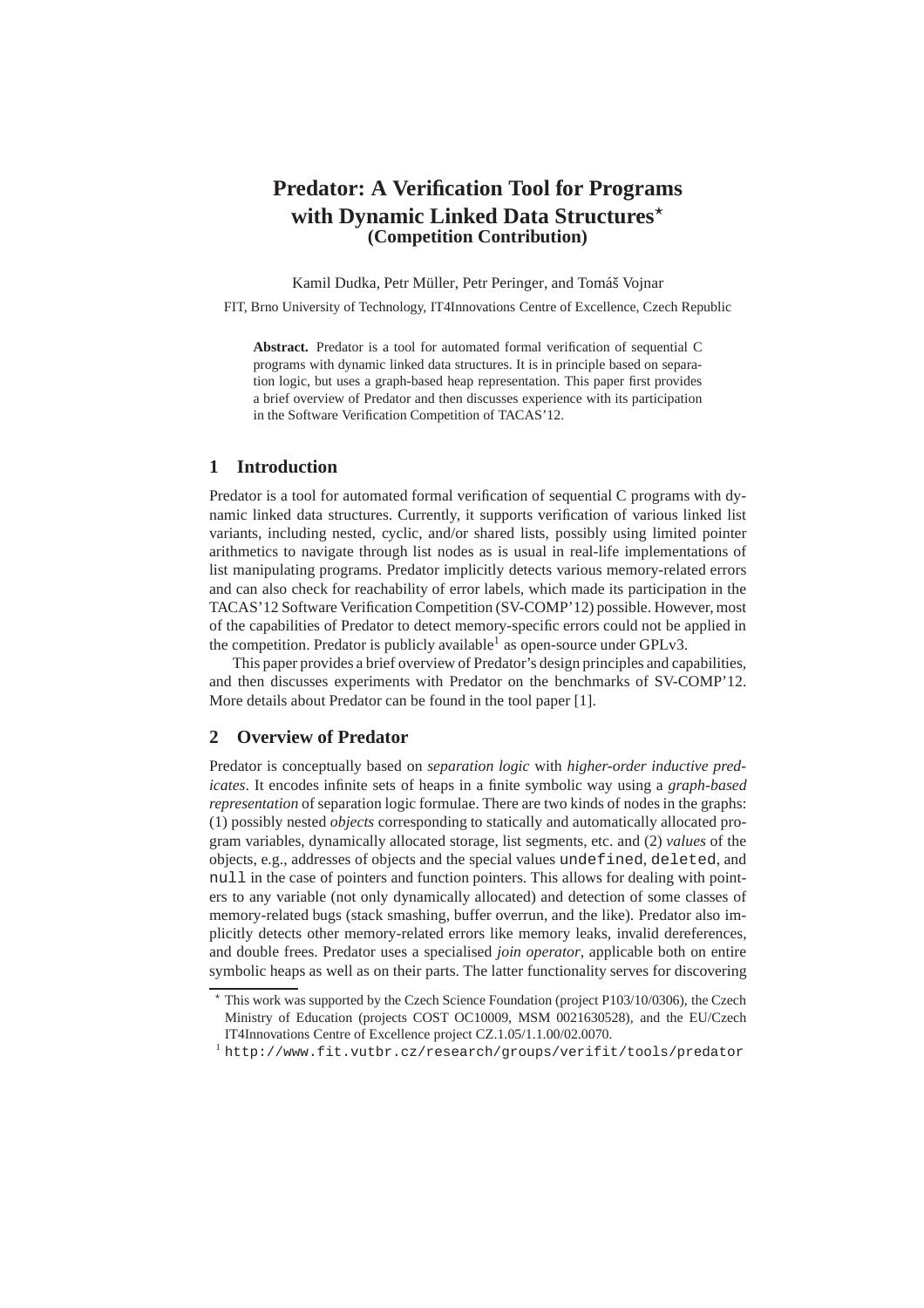# **Predator: A Verification Tool for Programs** with Dynamic Linked Data Structures<sup>\*</sup> **(Competition Contribution)**

Kamil Dudka, Petr Müller, Petr Peringer, and Tomáš Vojnar

FIT, Brno University of Technology, IT4Innovations Centre of Excellence, Czech Republic

**Abstract.** Predator is a tool for automated formal verification of sequential C programs with dynamic linked data structures. It is in principle based on separation logic, but uses a graph-based heap representation. This paper first provides a brief overview of Predator and then discusses experience with its participation in the Software Verification Competition of TACAS'12.

## **1 Introduction**

Predator is a tool for automated formal verification of sequential C programs with dynamic linked data structures. Currently, it supports verification of various linked list variants, including nested, cyclic, and/or shared lists, possibly using limited pointer arithmetics to navigate through list nodes as is usual in real-life implementations of list manipulating programs. Predator implicitly detects various memory-related errors and can also check for reachability of error labels, which made its participation in the TACAS'12 Software Verification Competition (SV-COMP'12) possible. However, most of the capabilities of Predator to detect memory-specific errors could not be applied in the competition. Predator is publicly available<sup>1</sup> as open-source under GPLv3.

This paper provides a brief overview of Predator's design principles and capabilities, and then discusses experiments with Predator on the benchmarks of SV-COMP'12. More details about Predator can be found in the tool paper [1].

## **2 Overview of Predator**

Predator is conceptually based on *separation logic* with *higher-order inductive predicates*. It encodes infinite sets of heaps in a finite symbolic way using a *graph-based representation* of separation logic formulae. There are two kinds of nodes in the graphs: (1) possibly nested *objects* corresponding to statically and automatically allocated program variables, dynamically allocated storage, list segments, etc. and (2) *values* of the objects, e.g., addresses of objects and the special values undefined, deleted, and null in the case of pointers and function pointers. This allows for dealing with pointers to any variable (not only dynamically allocated) and detection of some classes of memory-related bugs (stack smashing, buffer overrun, and the like). Predator also implicitly detects other memory-related errors like memory leaks, invalid dereferences, and double frees. Predator uses a specialised *join operator*, applicable both on entire symbolic heaps as well as on their parts. The latter functionality serves for discovering

<sup>⋆</sup> This work was supported by the Czech Science Foundation (project P103/10/0306), the Czech Ministry of Education (projects COST OC10009, MSM 0021630528), and the EU/Czech IT4Innovations Centre of Excellence project CZ.1.05/1.1.00/02.0070.

<sup>1</sup> http://www.fit.vutbr.cz/research/groups/verifit/tools/predator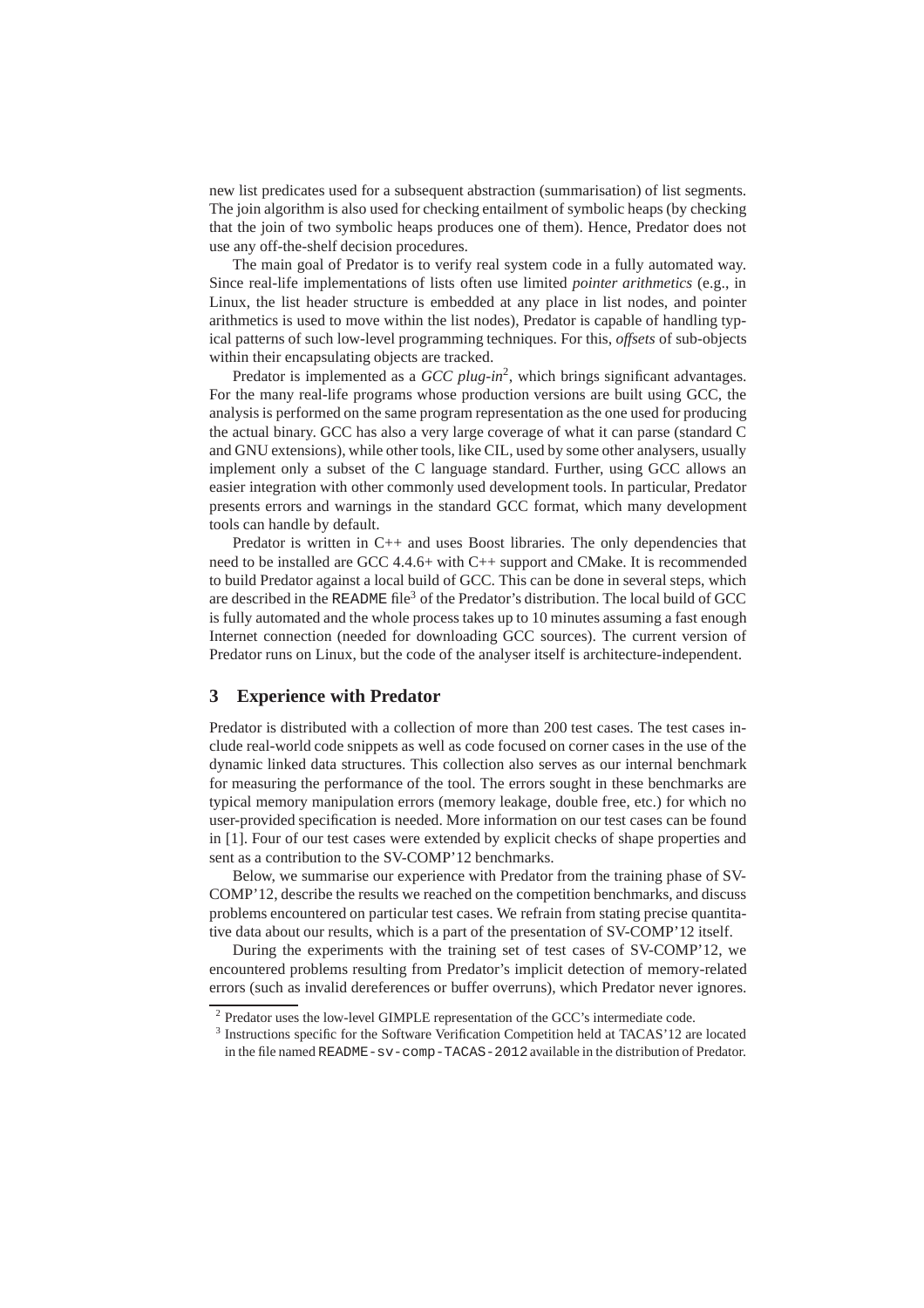new list predicates used for a subsequent abstraction (summarisation) of list segments. The join algorithm is also used for checking entailment of symbolic heaps (by checking that the join of two symbolic heaps produces one of them). Hence, Predator does not use any off-the-shelf decision procedures.

The main goal of Predator is to verify real system code in a fully automated way. Since real-life implementations of lists often use limited *pointer arithmetics* (e.g., in Linux, the list header structure is embedded at any place in list nodes, and pointer arithmetics is used to move within the list nodes), Predator is capable of handling typical patterns of such low-level programming techniques. For this, *offsets* of sub-objects within their encapsulating objects are tracked.

Predator is implemented as a *GCC plug-in*<sup>2</sup>, which brings significant advantages. For the many real-life programs whose production versions are built using GCC, the analysis is performed on the same program representation as the one used for producing the actual binary. GCC has also a very large coverage of what it can parse (standard C and GNU extensions), while other tools, like CIL, used by some other analysers, usually implement only a subset of the C language standard. Further, using GCC allows an easier integration with other commonly used development tools. In particular, Predator presents errors and warnings in the standard GCC format, which many development tools can handle by default.

Predator is written in C++ and uses Boost libraries. The only dependencies that need to be installed are GCC 4.4.6+ with C++ support and CMake. It is recommended to build Predator against a local build of GCC. This can be done in several steps, which are described in the README file<sup>3</sup> of the Predator's distribution. The local build of GCC is fully automated and the whole process takes up to 10 minutes assuming a fast enough Internet connection (needed for downloading GCC sources). The current version of Predator runs on Linux, but the code of the analyser itself is architecture-independent.

#### **3 Experience with Predator**

Predator is distributed with a collection of more than 200 test cases. The test cases include real-world code snippets as well as code focused on corner cases in the use of the dynamic linked data structures. This collection also serves as our internal benchmark for measuring the performance of the tool. The errors sought in these benchmarks are typical memory manipulation errors (memory leakage, double free, etc.) for which no user-provided specification is needed. More information on our test cases can be found in [1]. Four of our test cases were extended by explicit checks of shape properties and sent as a contribution to the SV-COMP'12 benchmarks.

Below, we summarise our experience with Predator from the training phase of SV-COMP'12, describe the results we reached on the competition benchmarks, and discuss problems encountered on particular test cases. We refrain from stating precise quantitative data about our results, which is a part of the presentation of SV-COMP'12 itself.

During the experiments with the training set of test cases of SV-COMP'12, we encountered problems resulting from Predator's implicit detection of memory-related errors (such as invalid dereferences or buffer overruns), which Predator never ignores.

 $2$  Predator uses the low-level GIMPLE representation of the GCC's intermediate code.

<sup>&</sup>lt;sup>3</sup> Instructions specific for the Software Verification Competition held at TACAS'12 are located in the file named README-sv-comp-TACAS-2012available in the distribution of Predator.